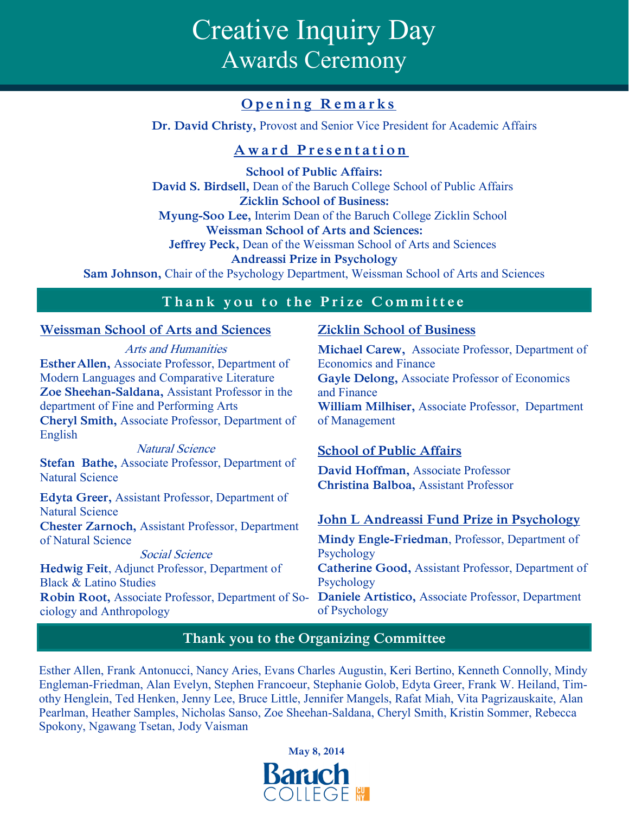# Creative Inquiry Day Awards Ceremony

## **Opening Remarks**

**Dr. David Christy,** Provost and Senior Vice President for Academic Affairs

## **A w a r d P r e s e n t a t i o n**

**School of Public Affairs: David S. Birdsell,** Dean of the Baruch College School of Public Affairs **Zicklin School of Business: Myung-Soo Lee,** Interim Dean of the Baruch College Zicklin School **Weissman School of Arts and Sciences: Jeffrey Peck,** Dean of the Weissman School of Arts and Sciences **Andreassi Prize in Psychology Sam Johnson,** Chair of the Psychology Department, Weissman School of Arts and Sciences

## Thank you to the Prize Committee

### **Weissman School of Arts and Sciences**

Arts and Humanities **EstherAllen,** Associate Professor, Department of Modern Languages and Comparative Literature **Zoe Sheehan-Saldana,** Assistant Professor in the department of Fine and Performing Arts **Cheryl Smith,** Associate Professor, Department of English

Natural Science **Stefan Bathe,** Associate Professor, Department of Natural Science

**Edyta Greer,** Assistant Professor, Department of Natural Science

**Chester Zarnoch,** Assistant Professor, Department of Natural Science

Social Science **Hedwig Feit**, Adjunct Professor, Department of Black & Latino Studies **Robin Root,** Associate Professor, Department of Sociology and Anthropology

## **Zicklin School of Business**

**Michael Carew,** Associate Professor, Department of Economics and Finance **Gayle Delong,** Associate Professor of Economics and Finance **William Milhiser,** Associate Professor, Department of Management

## **School of Public Affairs**

**David Hoffman,** Associate Professor **Christina Balboa,** Assistant Professor

## **John L Andreassi Fund Prize in Psychology**

**Mindy Engle-Friedman**, Professor, Department of Psychology **Catherine Good,** Assistant Professor, Department of Psychology **Daniele Artistico,** Associate Professor, Department of Psychology

## **Thank you to the Organizing Committee**

Esther Allen, Frank Antonucci, Nancy Aries, Evans Charles Augustin, Keri Bertino, Kenneth Connolly, Mindy Engleman-Friedman, Alan Evelyn, Stephen Francoeur, Stephanie Golob, Edyta Greer, Frank W. Heiland, Timothy Henglein, Ted Henken, Jenny Lee, Bruce Little, Jennifer Mangels, Rafat Miah, Vita Pagrizauskaite, Alan Pearlman, Heather Samples, Nicholas Sanso, Zoe Sheehan-Saldana, Cheryl Smith, Kristin Sommer, Rebecca Spokony, Ngawang Tsetan, Jody Vaisman